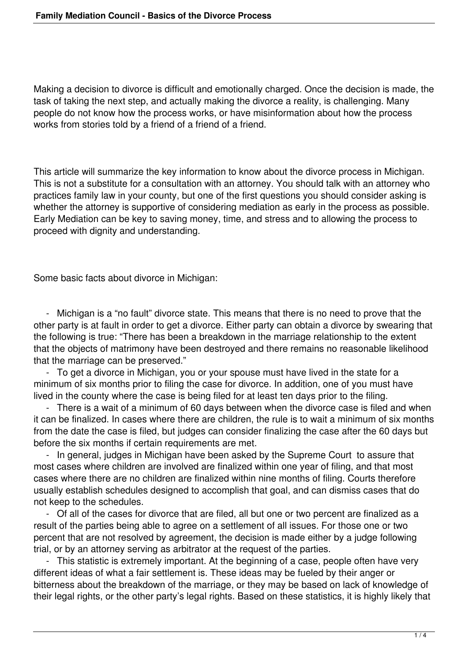Making a decision to divorce is difficult and emotionally charged. Once the decision is made, the task of taking the next step, and actually making the divorce a reality, is challenging. Many people do not know how the process works, or have misinformation about how the process works from stories told by a friend of a friend of a friend.

This article will summarize the key information to know about the divorce process in Michigan. This is not a substitute for a consultation with an attorney. You should talk with an attorney who practices family law in your county, but one of the first questions you should consider asking is whether the attorney is supportive of considering mediation as early in the process as possible. Early Mediation can be key to saving money, time, and stress and to allowing the process to proceed with dignity and understanding.

Some basic facts about divorce in Michigan:

 - Michigan is a "no fault" divorce state. This means that there is no need to prove that the other party is at fault in order to get a divorce. Either party can obtain a divorce by swearing that the following is true: "There has been a breakdown in the marriage relationship to the extent that the objects of matrimony have been destroyed and there remains no reasonable likelihood that the marriage can be preserved."

 - To get a divorce in Michigan, you or your spouse must have lived in the state for a minimum of six months prior to filing the case for divorce. In addition, one of you must have lived in the county where the case is being filed for at least ten days prior to the filing.

 - There is a wait of a minimum of 60 days between when the divorce case is filed and when it can be finalized. In cases where there are children, the rule is to wait a minimum of six months from the date the case is filed, but judges can consider finalizing the case after the 60 days but before the six months if certain requirements are met.

 - In general, judges in Michigan have been asked by the Supreme Court to assure that most cases where children are involved are finalized within one year of filing, and that most cases where there are no children are finalized within nine months of filing. Courts therefore usually establish schedules designed to accomplish that goal, and can dismiss cases that do not keep to the schedules.

 - Of all of the cases for divorce that are filed, all but one or two percent are finalized as a result of the parties being able to agree on a settlement of all issues. For those one or two percent that are not resolved by agreement, the decision is made either by a judge following trial, or by an attorney serving as arbitrator at the request of the parties.

 - This statistic is extremely important. At the beginning of a case, people often have very different ideas of what a fair settlement is. These ideas may be fueled by their anger or bitterness about the breakdown of the marriage, or they may be based on lack of knowledge of their legal rights, or the other party's legal rights. Based on these statistics, it is highly likely that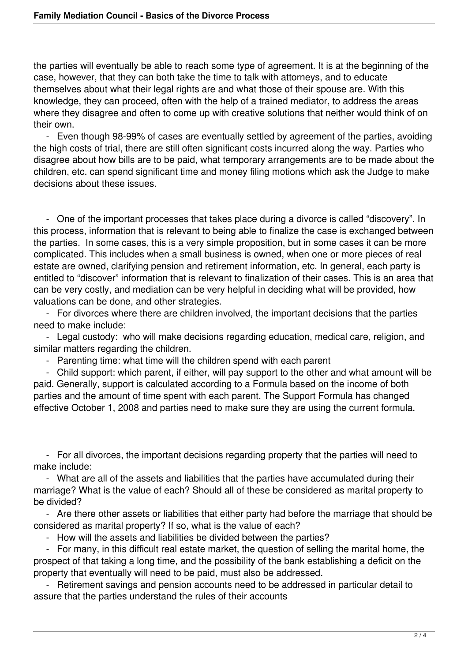the parties will eventually be able to reach some type of agreement. It is at the beginning of the case, however, that they can both take the time to talk with attorneys, and to educate themselves about what their legal rights are and what those of their spouse are. With this knowledge, they can proceed, often with the help of a trained mediator, to address the areas where they disagree and often to come up with creative solutions that neither would think of on their own.

 - Even though 98-99% of cases are eventually settled by agreement of the parties, avoiding the high costs of trial, there are still often significant costs incurred along the way. Parties who disagree about how bills are to be paid, what temporary arrangements are to be made about the children, etc. can spend significant time and money filing motions which ask the Judge to make decisions about these issues.

 - One of the important processes that takes place during a divorce is called "discovery". In this process, information that is relevant to being able to finalize the case is exchanged between the parties. In some cases, this is a very simple proposition, but in some cases it can be more complicated. This includes when a small business is owned, when one or more pieces of real estate are owned, clarifying pension and retirement information, etc. In general, each party is entitled to "discover" information that is relevant to finalization of their cases. This is an area that can be very costly, and mediation can be very helpful in deciding what will be provided, how valuations can be done, and other strategies.

 - For divorces where there are children involved, the important decisions that the parties need to make include:

 - Legal custody: who will make decisions regarding education, medical care, religion, and similar matters regarding the children.

- Parenting time: what time will the children spend with each parent

 - Child support: which parent, if either, will pay support to the other and what amount will be paid. Generally, support is calculated according to a Formula based on the income of both parties and the amount of time spent with each parent. The Support Formula has changed effective October 1, 2008 and parties need to make sure they are using the current formula.

 - For all divorces, the important decisions regarding property that the parties will need to make include:

 - What are all of the assets and liabilities that the parties have accumulated during their marriage? What is the value of each? Should all of these be considered as marital property to be divided?

 - Are there other assets or liabilities that either party had before the marriage that should be considered as marital property? If so, what is the value of each?

- How will the assets and liabilities be divided between the parties?

 - For many, in this difficult real estate market, the question of selling the marital home, the prospect of that taking a long time, and the possibility of the bank establishing a deficit on the property that eventually will need to be paid, must also be addressed.

 - Retirement savings and pension accounts need to be addressed in particular detail to assure that the parties understand the rules of their accounts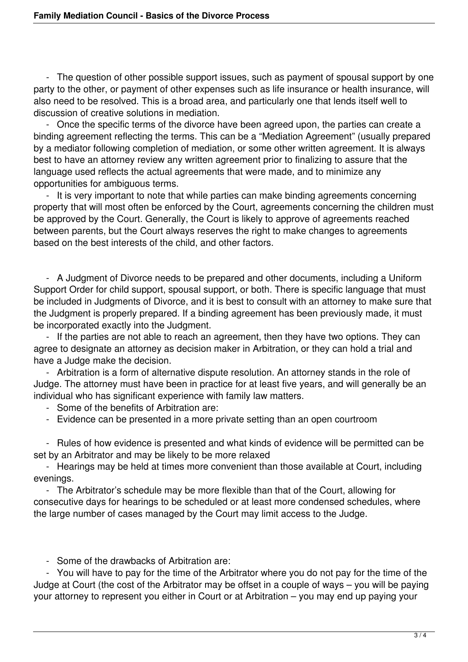- The question of other possible support issues, such as payment of spousal support by one party to the other, or payment of other expenses such as life insurance or health insurance, will also need to be resolved. This is a broad area, and particularly one that lends itself well to discussion of creative solutions in mediation.

 - Once the specific terms of the divorce have been agreed upon, the parties can create a binding agreement reflecting the terms. This can be a "Mediation Agreement" (usually prepared by a mediator following completion of mediation, or some other written agreement. It is always best to have an attorney review any written agreement prior to finalizing to assure that the language used reflects the actual agreements that were made, and to minimize any opportunities for ambiguous terms.

 - It is very important to note that while parties can make binding agreements concerning property that will most often be enforced by the Court, agreements concerning the children must be approved by the Court. Generally, the Court is likely to approve of agreements reached between parents, but the Court always reserves the right to make changes to agreements based on the best interests of the child, and other factors.

 - A Judgment of Divorce needs to be prepared and other documents, including a Uniform Support Order for child support, spousal support, or both. There is specific language that must be included in Judgments of Divorce, and it is best to consult with an attorney to make sure that the Judgment is properly prepared. If a binding agreement has been previously made, it must be incorporated exactly into the Judgment.

 - If the parties are not able to reach an agreement, then they have two options. They can agree to designate an attorney as decision maker in Arbitration, or they can hold a trial and have a Judge make the decision.

 - Arbitration is a form of alternative dispute resolution. An attorney stands in the role of Judge. The attorney must have been in practice for at least five years, and will generally be an individual who has significant experience with family law matters.

- Some of the benefits of Arbitration are:

- Evidence can be presented in a more private setting than an open courtroom

 - Rules of how evidence is presented and what kinds of evidence will be permitted can be set by an Arbitrator and may be likely to be more relaxed

- Hearings may be held at times more convenient than those available at Court, including evenings.

 - The Arbitrator's schedule may be more flexible than that of the Court, allowing for consecutive days for hearings to be scheduled or at least more condensed schedules, where the large number of cases managed by the Court may limit access to the Judge.

- Some of the drawbacks of Arbitration are:

 - You will have to pay for the time of the Arbitrator where you do not pay for the time of the Judge at Court (the cost of the Arbitrator may be offset in a couple of ways – you will be paying your attorney to represent you either in Court or at Arbitration – you may end up paying your